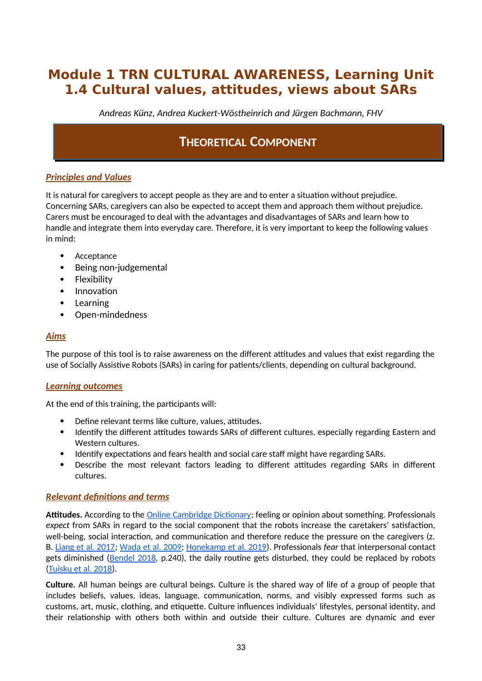# **Module 1 TRN CULTURAL AWARENESS, Learning Unit 1.4 Cultural values, attitudes, views about SARs**

*Andreas Künz, Andrea Kuckert-Wöstheinrich and Jürgen Bachmann, FHV*

# **THEORETICAL COMPONENT**

### *Principles and Values*

It is natural for caregivers to accept people as they are and to enter a situation without prejudice. Concerning SARs, caregivers can also be expected to accept them and approach them without prejudice. Carers must be encouraged to deal with the advantages and disadvantages of SARs and learn how to handle and integrate them into everyday care. Therefore, it is very important to keep the following values in mind:

- Acceptance
- Being non-judgemental
- Flexibility
- Innovation
- Learning
- Open-mindedness

### *Aims*

The purpose of this tool is to raise awareness on the different attitudes and values that exist regarding the use of Socially Assistive Robots (SARs) in caring for patients/clients, depending on cultural background.

### *Learning outcomes*

At the end of this training, the participants will:

- Define relevant terms like culture, values, attitudes.
- Identify the different attitudes towards SARs of different cultures, especially regarding Eastern and Western cultures.
- Identify expectations and fears health and social care staff might have regarding SARs.
- Describe the most relevant factors leading to different attitudes regarding SARs in different cultures.

#### *Relevant definitions and terms*

**Attitudes.** According to the Online Cambridge Dictionary: feeling or opinion about something. Professionals *expect* from SARs in regard to the social component that the robots increase the caretakers' satisfaction, well-being, social interaction, and communication and therefore reduce the pressure on the caregivers (z. B. Liang et al. 2017; Wada et al. 2009; Honekamp et al. 2019). Professionals *fear* that interpersonal contact gets diminished (Bendel 2018, p.240), the daily routine gets disturbed, they could be replaced by robots (Tuisku et al. 2018).

**Culture.** All human beings are cultural beings. Culture is the shared way of life of a group of people that includes beliefs, values, ideas, language, communication, norms, and visibly expressed forms such as customs, art, music, clothing, and etiquette. Culture influences individuals' lifestyles, personal identity, and their relationship with others both within and outside their culture. Cultures are dynamic and ever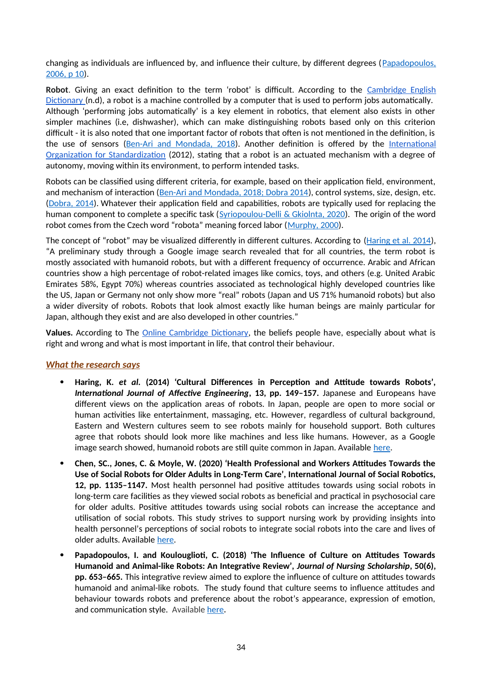changing as individuals are influenced by, and influence their culture, by different degrees ([Papadopoulos,](https://www.researchgate.net/publication/285849542_The_Papadopoulos_Tilki_and_Taylor_model_for_the_development_of_cultural_competence_in_nursing) [2006, p 10\)](https://www.researchgate.net/publication/285849542_The_Papadopoulos_Tilki_and_Taylor_model_for_the_development_of_cultural_competence_in_nursing).

Robot. Giving an exact definition to the term 'robot' is difficult. According to the Cambridge English Dictionary (n.d), a robot is a machine controlled by a computer that is used to perform jobs automatically. Although 'performing jobs automatically' is a key element in robotics, that element also exists in other simpler machines (i.e, dishwasher), which can make distinguishing robots based only on this criterion difficult - it is also noted that one important factor of robots that often is not mentioned in the definition, is the use of sensors ([Ben-Ari and Mondada, 2018\)](https://www.researchgate.net/publication/320674637_Robots_and_Their_Applications). Another definition is offered by the International Organization for Standardization (2012), stating that a robot is an actuated mechanism with a degree of autonomy, moving within its environment, to perform intended tasks.

Robots can be classified using different criteria, for example, based on their application field, environment, and mechanism of interaction ([Ben-Ari and Mondada, 2018; Dobra 2014](https://www.researchgate.net/publication/320674637_Robots_and_Their_Applications)), control systems, size, design, etc. [\(Dobra, 2014\)](https://www.researchgate.net/publication/286652452_General_classification_of_robots_Size_criteria). Whatever their application field and capabilities, robots are typically used for replacing the human component to complete a specific task ([Syriopoulou-Delli & Gkiolnta, 2020](https://www.researchgate.net/publication/337886810_Review_of_Assistive_Technology_in_the_training_of_Children_with_Autism_Spectrum_Disorders)). The origin of the word robot comes from the Czech word "robota" meaning forced labor ([Murphy, 2000](https://mitpress.mit.edu/books/introduction-ai-robotics-second-edition)).

The concept of "robot" may be visualized differently in different cultures. According to ([Haring et al. 2014\)](https://www.researchgate.net/publication/266416317_Cultural_Differences_in_Perception_and_Attitude_towards_Robots), "A preliminary study through a Google image search revealed that for all countries, the term robot is mostly associated with humanoid robots, but with a different frequency of occurrence. Arabic and African countries show a high percentage of robot-related images like comics, toys, and others (e.g. United Arabic Emirates 58%, Egypt 70%) whereas countries associated as technological highly developed countries like the US, Japan or Germany not only show more "real" robots (Japan and US 71% humanoid robots) but also a wider diversity of robots. Robots that look almost exactly like human beings are mainly particular for Japan, although they exist and are also developed in other countries."

**Values.** According to The Online Cambridge Dictionary, the beliefs people have, especially about what is right and wrong and what is most important in life, that control their behaviour.

### *What the research says*

- **Haring, K.** *et al.* **(2014) 'Cultural Differences in Perception and Attitude towards Robots',** *International Journal of Affective Engineering***, 13, pp. 149–157.** Japanese and Europeans have different views on the application areas of robots. In Japan, people are open to more social or human activities like entertainment, massaging, etc. However, regardless of cultural background, Eastern and Western cultures seem to see robots mainly for household support. Both cultures agree that robots should look more like machines and less like humans. However, as a Google image search showed, humanoid robots are still quite common in Japan. Available [here](https://www.researchgate.net/publication/266416317_Cultural_Differences_in_Perception_and_Attitude_towards_Robots/link/551a759d0cf2f51a6fea4b81/download).
- **Chen, SC., Jones, C. & Moyle, W. (2020) 'Health Professional and Workers Attitudes Towards the Use of Social Robots for Older Adults in Long-Term Care', International Journal of Social Robotics, 12, pp. 1135–1147.** Most health personnel had positive attitudes towards using social robots in long-term care facilities as they viewed social robots as beneficial and practical in psychosocial care for older adults. Positive attitudes towards using social robots can increase the acceptance and utilisation of social robots. This study strives to support nursing work by providing insights into health personnel's perceptions of social robots to integrate social robots into the care and lives of older adults. Available [here.](https://pure.bond.edu.au/ws/files/34797821/AM_Health_Professional_and_Workers_Attitudes_Towards_the_Use_of_Social.pdf)
- **Papadopoulos, I. and Koulouglioti, C. (2018) 'The Influence of Culture on Attitudes Towards Humanoid and Animal-like Robots: An Integrative Review',** *Journal of Nursing Scholarship***, 50(6), pp. 653–665.** This integrative review aimed to explore the influence of culture on attitudes towards humanoid and animal-like robots. The study found that culture seems to influence attitudes and behaviour towards robots and preference about the robot's appearance, expression of emotion, and communication style. Available [here](https://sigmapubs.onlinelibrary.wiley.com/doi/abs/10.1111/jnu.12422)**.**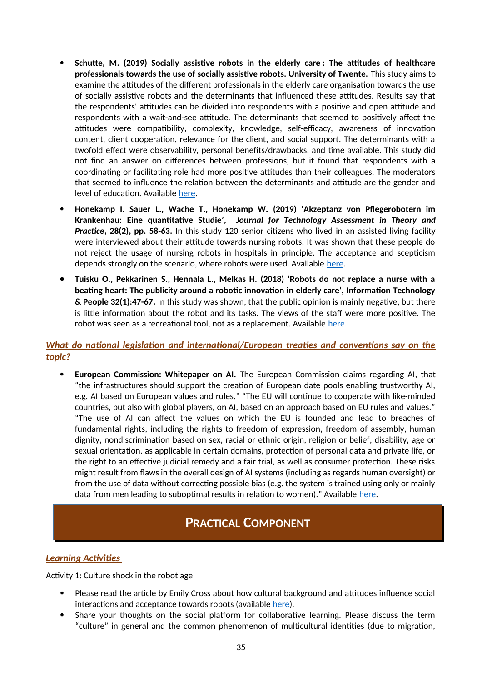- **Schutte, M. (2019) Socially assistive robots in the elderly care : The attitudes of healthcare professionals towards the use of socially assistive robots. University of Twente.** This study aims to examine the attitudes of the different professionals in the elderly care organisation towards the use of socially assistive robots and the determinants that influenced these attitudes. Results say that the respondents' attitudes can be divided into respondents with a positive and open attitude and respondents with a wait-and-see attitude. The determinants that seemed to positively affect the attitudes were compatibility, complexity, knowledge, self-efficacy, awareness of innovation content, client cooperation, relevance for the client, and social support. The determinants with a twofold effect were observability, personal benefits/drawbacks, and time available. This study did not find an answer on differences between professions, but it found that respondents with a coordinating or facilitating role had more positive attitudes than their colleagues. The moderators that seemed to influence the relation between the determinants and attitude are the gender and level of education. Available [here](http://essay.utwente.nl/79233/1/Schutte_MA_TNW.pdf).
- **Honekamp I. Sauer L., Wache T., Honekamp W. (2019) 'Akzeptanz von Pflegerobotern im Krankenhau: Eine quantitative Studie',** *Journal for Technology Assessment in Theory and Practice***, 28(2), pp. 58-63.** In this study 120 senior citizens who lived in an assisted living facility were interviewed about their attitude towards nursing robots. It was shown that these people do not reject the usage of nursing robots in hospitals in principle. The acceptance and scepticism depends strongly on the scenario, w[here](https://tatup.de/index.php/tatup/article/view/222) robots were used. Available here.
- **Tuisku O., Pekkarinen S., Hennala L., Melkas H. (2018) 'Robots do not replace a nurse with a beating heart: The publicity around a robotic innovation in elderly care', Information Technology & People 32(1):47-67.** In this study was shown, that the public opinion is mainly negative, but there is little information about the robot and its tasks. The views of the staff were more positive. The robot was seen as a recreational tool, not as a replacement. Available [here](https://www.emerald.com/insight/content/doi/10.1108/ITP-06-2018-0277/full/html).

### *What do national legislation and international/European treaties and conventions say on the topic?*

 **European Commission: Whitepaper on AI.** The European Commission claims regarding AI, that "the infrastructures should support the creation of European date pools enabling trustworthy AI, e.g. AI based on European values and rules." "The EU will continue to cooperate with like-minded countries, but also with global players, on AI, based on an approach based on EU rules and values." "The use of AI can affect the values on which the EU is founded and lead to breaches of fundamental rights, including the rights to freedom of expression, freedom of assembly, human dignity, nondiscrimination based on sex, racial or ethnic origin, religion or belief, disability, age or sexual orientation, as applicable in certain domains, protection of personal data and private life, or the right to an effective judicial remedy and a fair trial, as well as consumer protection. These risks might result from flaws in the overall design of AI systems (including as regards human oversight) or from the use of data without correcting possible bias (e.g. the system is trained using only or mainly data from men leading to suboptimal results in relation to women)." Available [here](https://ec.europa.eu/info/sites/default/files/commission-white-paper-artificial-intelligence-feb2020_en.pdf).

# **PRACTICAL COMPONENT**

### *Learning Activities*

Activity 1: Culture shock in the robot age

- Please read the article by Emily Cross about how cultural background and attitudes influence social interactions and acceptance towards robots (available [here\)](https://www.goethe.de/prj/k40/en/eth/rob.html).
- Share your thoughts on the social platform for collaborative learning. Please discuss the term "culture" in general and the common phenomenon of multicultural identities (due to migration,